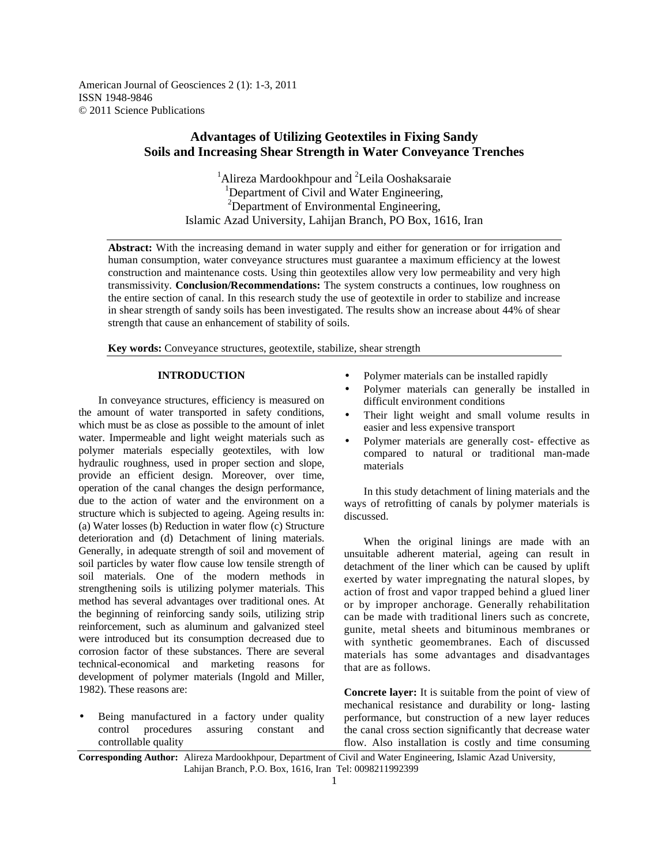American Journal of Geosciences 2 (1): 1-3, 2011 ISSN 1948-9846 © 2011 Science Publications

# **Advantages of Utilizing Geotextiles in Fixing Sandy Soils and Increasing Shear Strength in Water Conveyance Trenches**

<sup>1</sup>Alireza Mardookhpour and <sup>2</sup>Leila Ooshaksaraie <sup>1</sup>Department of Civil and Water Engineering, <sup>2</sup>Department of Environmental Engineering, Islamic Azad University, Lahijan Branch, PO Box, 1616, Iran

**Abstract:** With the increasing demand in water supply and either for generation or for irrigation and human consumption, water conveyance structures must guarantee a maximum efficiency at the lowest construction and maintenance costs. Using thin geotextiles allow very low permeability and very high transmissivity. **Conclusion/Recommendations:** The system constructs a continues, low roughness on the entire section of canal. In this research study the use of geotextile in order to stabilize and increase in shear strength of sandy soils has been investigated. The results show an increase about 44% of shear strength that cause an enhancement of stability of soils.

**Key words:** Conveyance structures, geotextile, stabilize, shear strength

### **INTRODUCTION**

 In conveyance structures, efficiency is measured on the amount of water transported in safety conditions, which must be as close as possible to the amount of inlet water. Impermeable and light weight materials such as polymer materials especially geotextiles, with low hydraulic roughness, used in proper section and slope, provide an efficient design. Moreover, over time, operation of the canal changes the design performance, due to the action of water and the environment on a structure which is subjected to ageing. Ageing results in: (a) Water losses (b) Reduction in water flow (c) Structure deterioration and (d) Detachment of lining materials. Generally, in adequate strength of soil and movement of soil particles by water flow cause low tensile strength of soil materials. One of the modern methods in strengthening soils is utilizing polymer materials. This method has several advantages over traditional ones. At the beginning of reinforcing sandy soils, utilizing strip reinforcement, such as aluminum and galvanized steel were introduced but its consumption decreased due to corrosion factor of these substances. There are several technical-economical and marketing reasons for development of polymer materials (Ingold and Miller, 1982). These reasons are:

Being manufactured in a factory under quality control procedures assuring constant and controllable quality

- Polymer materials can be installed rapidly
- Polymer materials can generally be installed in difficult environment conditions
- Their light weight and small volume results in easier and less expensive transport
- Polymer materials are generally cost- effective as compared to natural or traditional man-made materials

 In this study detachment of lining materials and the ways of retrofitting of canals by polymer materials is discussed.

 When the original linings are made with an unsuitable adherent material, ageing can result in detachment of the liner which can be caused by uplift exerted by water impregnating the natural slopes, by action of frost and vapor trapped behind a glued liner or by improper anchorage. Generally rehabilitation can be made with traditional liners such as concrete, gunite, metal sheets and bituminous membranes or with synthetic geomembranes. Each of discussed materials has some advantages and disadvantages that are as follows.

**Concrete layer:** It is suitable from the point of view of mechanical resistance and durability or long- lasting performance, but construction of a new layer reduces the canal cross section significantly that decrease water flow. Also installation is costly and time consuming

**Corresponding Author:** Alireza Mardookhpour, Department of Civil and Water Engineering, Islamic Azad University, Lahijan Branch, P.O. Box, 1616, Iran Tel: 0098211992399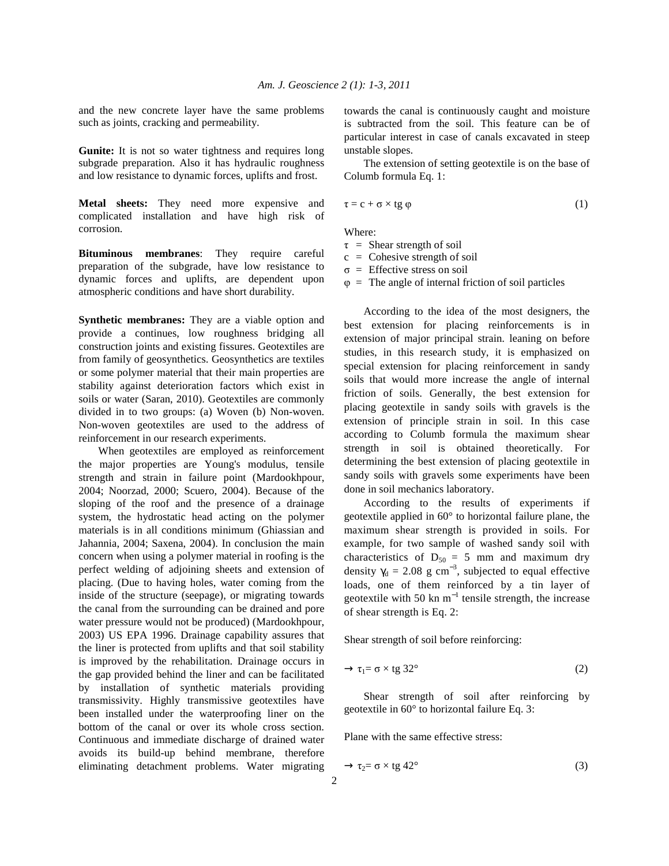and the new concrete layer have the same problems such as joints, cracking and permeability.

Gunite: It is not so water tightness and requires long subgrade preparation. Also it has hydraulic roughness and low resistance to dynamic forces, uplifts and frost.

**Metal sheets:** They need more expensive and complicated installation and have high risk of corrosion.

**Bituminous membranes**: They require careful preparation of the subgrade, have low resistance to dynamic forces and uplifts, are dependent upon atmospheric conditions and have short durability.

**Synthetic membranes:** They are a viable option and provide a continues, low roughness bridging all construction joints and existing fissures. Geotextiles are from family of geosynthetics. Geosynthetics are textiles or some polymer material that their main properties are stability against deterioration factors which exist in soils or water (Saran, 2010). Geotextiles are commonly divided in to two groups: (a) Woven (b) Non-woven. Non-woven geotextiles are used to the address of reinforcement in our research experiments.

 When geotextiles are employed as reinforcement the major properties are Young's modulus, tensile strength and strain in failure point (Mardookhpour, 2004; Noorzad, 2000; Scuero, 2004). Because of the sloping of the roof and the presence of a drainage system, the hydrostatic head acting on the polymer materials is in all conditions minimum (Ghiassian and Jahannia, 2004; Saxena, 2004). In conclusion the main concern when using a polymer material in roofing is the perfect welding of adjoining sheets and extension of placing. (Due to having holes, water coming from the inside of the structure (seepage), or migrating towards the canal from the surrounding can be drained and pore water pressure would not be produced) (Mardookhpour, 2003) US EPA 1996. Drainage capability assures that the liner is protected from uplifts and that soil stability is improved by the rehabilitation. Drainage occurs in the gap provided behind the liner and can be facilitated by installation of synthetic materials providing transmissivity. Highly transmissive geotextiles have been installed under the waterproofing liner on the bottom of the canal or over its whole cross section. Continuous and immediate discharge of drained water avoids its build-up behind membrane, therefore eliminating detachment problems. Water migrating towards the canal is continuously caught and moisture is subtracted from the soil. This feature can be of particular interest in case of canals excavated in steep unstable slopes.

 The extension of setting geotextile is on the base of Columb formula Eq. 1:

$$
\tau = c + \sigma \times tg \varphi \tag{1}
$$

Where:

- $\tau$  = Shear strength of soil
- $c =$  Cohesive strength of soil
- $\sigma$  = Effective stress on soil
- $\varphi$  = The angle of internal friction of soil particles

 According to the idea of the most designers, the best extension for placing reinforcements is in extension of major principal strain. leaning on before studies, in this research study, it is emphasized on special extension for placing reinforcement in sandy soils that would more increase the angle of internal friction of soils. Generally, the best extension for placing geotextile in sandy soils with gravels is the extension of principle strain in soil. In this case according to Columb formula the maximum shear strength in soil is obtained theoretically. For determining the best extension of placing geotextile in sandy soils with gravels some experiments have been done in soil mechanics laboratory.

 According to the results of experiments if geotextile applied in 60° to horizontal failure plane, the maximum shear strength is provided in soils. For example, for two sample of washed sandy soil with characteristics of  $D_{50} = 5$  mm and maximum dry density  $\gamma_d = 2.08$  g cm<sup>-3</sup>, subjected to equal effective loads, one of them reinforced by a tin layer of geotextile with 50 kn  $m^{-1}$  tensile strength, the increase of shear strength is Eq. 2:

Shear strength of soil before reinforcing:

$$
\rightarrow \tau_1 = \sigma \times \text{tg } 32^{\circ} \tag{2}
$$

 Shear strength of soil after reinforcing by geotextile in 60° to horizontal failure Eq. 3:

Plane with the same effective stress:

$$
\rightarrow \tau_2 = \sigma \times \text{tg } 42^{\circ} \tag{3}
$$